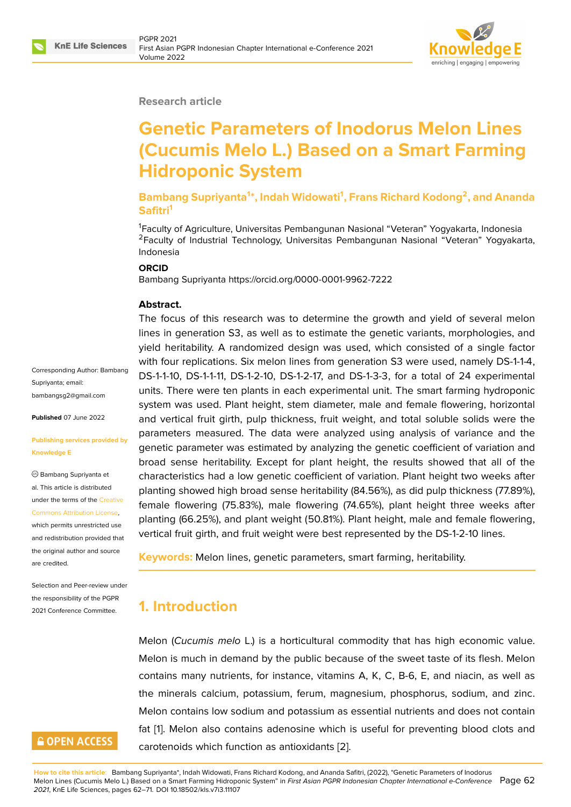

### **Research article**

# **Genetic Parameters of Inodorus Melon Lines (Cucumis Melo L.) Based on a Smart Farming Hidroponic System**

**Bambang Supriyanta<sup>1</sup> \*, Indah Widowati<sup>1</sup> , Frans Richard Kodong<sup>2</sup> , and Ananda Safitri<sup>1</sup>**

<sup>1</sup>Faculty of Agriculture, Universitas Pembangunan Nasional "Veteran" Yogyakarta, Indonesia <sup>2</sup>Faculty of Industrial Technology, Universitas Pembangunan Nasional "Veteran" Yogyakarta, Indonesia

#### **ORCID**

Bambang Supriyanta https://orcid.org/0000-0001-9962-7222

### **Abstract.**

The focus of this research was to determine the growth and yield of several melon lines in generation S3, as well as to estimate the genetic variants, morphologies, and yield heritability. A randomized design was used, which consisted of a single factor with four replications. Six melon lines from generation S3 were used, namely DS-1-1-4, DS-1-1-10, DS-1-1-11, DS-1-2-10, DS-1-2-17, and DS-1-3-3, for a total of 24 experimental units. There were ten plants in each experimental unit. The smart farming hydroponic system was used. Plant height, stem diameter, male and female flowering, horizontal and vertical fruit girth, pulp thickness, fruit weight, and total soluble solids were the parameters measured. The data were analyzed using analysis of variance and the genetic parameter was estimated by analyzing the genetic coefficient of variation and broad sense heritability. Except for plant height, the results showed that all of the characteristics had a low genetic coefficient of variation. Plant height two weeks after planting showed high broad sense heritability (84.56%), as did pulp thickness (77.89%), female flowering (75.83%), male flowering (74.65%), plant height three weeks after planting (66.25%), and plant weight (50.81%). Plant height, male and female flowering, vertical fruit girth, and fruit weight were best represented by the DS-1-2-10 lines.

**Keywords:** Melon lines, genetic parameters, smart farming, heritability.

# **1. Introduction**

Melon (*Cucumis melo* L.) is a horticultural commodity that has high economic value. Melon is much in demand by the public because of the sweet taste of its flesh. Melon contains many nutrients, for instance, vitamins A, K, C, B-6, E, and niacin, as well as the minerals calcium, potassium, ferum, magnesium, phosphorus, sodium, and zinc. Melon contains low sodium and potassium as essential nutrients and does not contain fat [1]. Melon also contains adenosine which is useful for preventing blood clots and carotenoids which function as antioxidants [2].

Corresponding Author: Bambang Supriyanta; email: bambangsg2@gmail.com

**Published** 07 June 2022

### **[Publishing services provi](mailto:bambangsg2@gmail.com)ded by Knowledge E**

Bambang Supriyanta et al. This article is distributed under the terms of the Creative Commons Attribution License,

which permits unrestricted use and redistribution provided that the original author and [source](https://creativecommons.org/licenses/by/4.0/) [are credited.](https://creativecommons.org/licenses/by/4.0/)

Selection and Peer-review under the responsibility of the PGPR 2021 Conference Committee.

# **GOPEN ACCESS**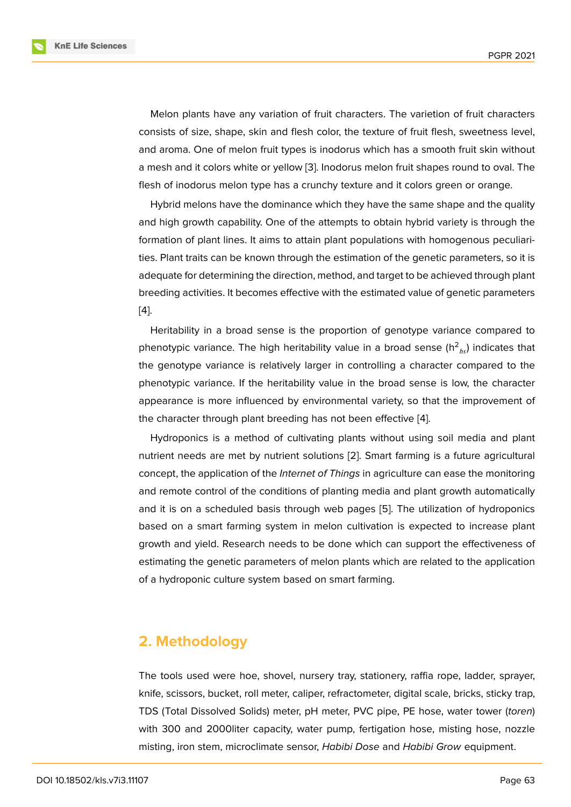Melon plants have any variation of fruit characters. The varietion of fruit characters consists of size, shape, skin and flesh color, the texture of fruit flesh, sweetness level, and aroma. One of melon fruit types is inodorus which has a smooth fruit skin without a mesh and it colors white or yellow [3]. Inodorus melon fruit shapes round to oval. The flesh of inodorus melon type has a crunchy texture and it colors green or orange.

Hybrid melons have the dominance which they have the same shape and the quality and high growth capability. One of t[he](#page-8-1) attempts to obtain hybrid variety is through the formation of plant lines. It aims to attain plant populations with homogenous peculiarities. Plant traits can be known through the estimation of the genetic parameters, so it is adequate for determining the direction, method, and target to be achieved through plant breeding activities. It becomes effective with the estimated value of genetic parameters [4].

Heritability in a broad sense is the proportion of genotype variance compared to phenotypic variance. The high heritability value in a broad sense (h $^2\mathstrut_{bs}$ ) indicates that [th](#page-8-2)e genotype variance is relatively larger in controlling a character compared to the phenotypic variance. If the heritability value in the broad sense is low, the character appearance is more influenced by environmental variety, so that the improvement of the character through plant breeding has not been effective [4].

Hydroponics is a method of cultivating plants without using soil media and plant nutrient needs are met by nutrient solutions [2]. Smart farming is a future agricultural concept, the application of the *Internet of Things* in agricultur[e c](#page-8-2)an ease the monitoring and remote control of the conditions of planting media and plant growth automatically and it is on a scheduled basis through web [pa](#page-8-3)ges [5]. The utilization of hydroponics based on a smart farming system in melon cultivation is expected to increase plant growth and yield. Research needs to be done which can support the effectiveness of estimating the genetic parameters of melon plants w[hi](#page-8-4)ch are related to the application of a hydroponic culture system based on smart farming.

# **2. Methodology**

The tools used were hoe, shovel, nursery tray, stationery, raffia rope, ladder, sprayer, knife, scissors, bucket, roll meter, caliper, refractometer, digital scale, bricks, sticky trap, TDS (Total Dissolved Solids) meter, pH meter, PVC pipe, PE hose, water tower (*toren*) with 300 and 2000liter capacity, water pump, fertigation hose, misting hose, nozzle misting, iron stem, microclimate sensor, *Habibi Dose* and *Habibi Grow* equipment.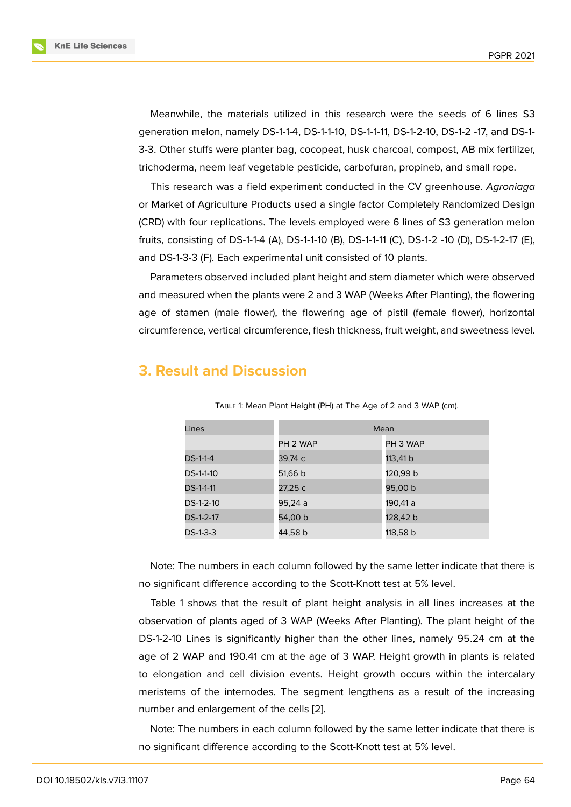Meanwhile, the materials utilized in this research were the seeds of 6 lines S3 generation melon, namely DS-1-1-4, DS-1-1-10, DS-1-1-11, DS-1-2-10, DS-1-2 -17, and DS-1- 3-3. Other stuffs were planter bag, cocopeat, husk charcoal, compost, AB mix fertilizer, trichoderma, neem leaf vegetable pesticide, carbofuran, propineb, and small rope.

This research was a field experiment conducted in the CV greenhouse. *Agroniaga* or Market of Agriculture Products used a single factor Completely Randomized Design (CRD) with four replications. The levels employed were 6 lines of S3 generation melon fruits, consisting of DS-1-1-4 (A), DS-1-1-10 (B), DS-1-1-11 (C), DS-1-2 -10 (D), DS-1-2-17 (E), and DS-1-3-3 (F). Each experimental unit consisted of 10 plants.

Parameters observed included plant height and stem diameter which were observed and measured when the plants were 2 and 3 WAP (Weeks After Planting), the flowering age of stamen (male flower), the flowering age of pistil (female flower), horizontal circumference, vertical circumference, flesh thickness, fruit weight, and sweetness level.

### **3. Result and Discussion**

| Lines            | Mean     |          |  |  |
|------------------|----------|----------|--|--|
|                  | PH 2 WAP | PH 3 WAP |  |  |
| DS-1-1-4         | 39,74 с  | 113,41 b |  |  |
| DS-1-1-10        | 51,66 b  | 120,99 b |  |  |
| <b>DS-1-1-11</b> | 27,25 с  | 95,00 b  |  |  |
| DS-1-2-10        | 95,24 a  | 190,41 a |  |  |
| DS-1-2-17        | 54,00 b  | 128,42 b |  |  |
| DS-1-3-3         | 44,58 b  | 118,58 b |  |  |

Table 1: Mean Plant Height (PH) at The Age of 2 and 3 WAP (cm).

Note: The numbers in each column followed by the same letter indicate that there is no significant difference according to the Scott-Knott test at 5% level.

Table 1 shows that the result of plant height analysis in all lines increases at the observation of plants aged of 3 WAP (Weeks After Planting). The plant height of the DS-1-2-10 Lines is significantly higher than the other lines, namely 95.24 cm at the age of 2 WAP and 190.41 cm at the age of 3 WAP. Height growth in plants is related to elongation and cell division events. Height growth occurs within the intercalary meristems of the internodes. The segment lengthens as a result of the increasing number and enlargement of the cells [2].

Note: The numbers in each column followed by the same letter indicate that there is no significant difference according to [the](#page-8-3) Scott-Knott test at 5% level.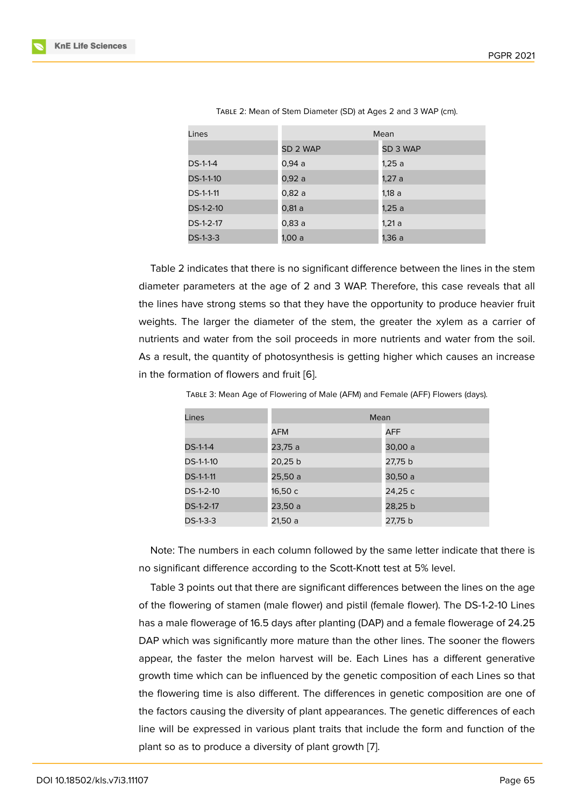| Lines            | Mean     |          |  |
|------------------|----------|----------|--|
|                  | SD 2 WAP | SD 3 WAP |  |
| DS-1-1-4         | 0.94a    | 1,25 a   |  |
| DS-1-1-10        | 0.92a    | 1,27 a   |  |
| <b>DS-1-1-11</b> | 0,82 a   | 1,18 a   |  |
| DS-1-2-10        | 0,81 a   | 1,25 a   |  |
| DS-1-2-17        | 0,83 a   | 1,21 a   |  |
| DS-1-3-3         | 1.00 a   | 1,36 a   |  |

Table 2: Mean of Stem Diameter (SD) at Ages 2 and 3 WAP (cm).

Table 2 indicates that there is no significant difference between the lines in the stem diameter parameters at the age of 2 and 3 WAP. Therefore, this case reveals that all the lines have strong stems so that they have the opportunity to produce heavier fruit weights. The larger the diameter of the stem, the greater the xylem as a carrier of nutrients and water from the soil proceeds in more nutrients and water from the soil. As a result, the quantity of photosynthesis is getting higher which causes an increase in the formation of flowers and fruit [6].

| Lines            | Mean    |         |  |
|------------------|---------|---------|--|
|                  | AFM     | AFF     |  |
| DS-1-1-4         | 23,75 a | 30,00 a |  |
| DS-1-1-10        | 20,25 b | 27,75 b |  |
| <b>DS-1-1-11</b> | 25,50 a | 30,50 a |  |
| DS-1-2-10        | 16,50 с | 24,25 с |  |
| DS-1-2-17        | 23,50 a | 28,25 b |  |
| DS-1-3-3         | 21,50 a | 27,75 b |  |

Table 3: Mean Age of Flowering of Male (AFM) and Female (AFF) Flowers (days).

Note: The numbers in each column followed by the same letter indicate that there is no significant difference according to the Scott-Knott test at 5% level.

Table 3 points out that there are significant differences between the lines on the age of the flowering of stamen (male flower) and pistil (female flower). The DS-1-2-10 Lines has a male flowerage of 16.5 days after planting (DAP) and a female flowerage of 24.25 DAP which was significantly more mature than the other lines. The sooner the flowers appear, the faster the melon harvest will be. Each Lines has a different generative growth time which can be influenced by the genetic composition of each Lines so that the flowering time is also different. The differences in genetic composition are one of the factors causing the diversity of plant appearances. The genetic differences of each line will be expressed in various plant traits that include the form and function of the plant so as to produce a diversity of plant growth [7].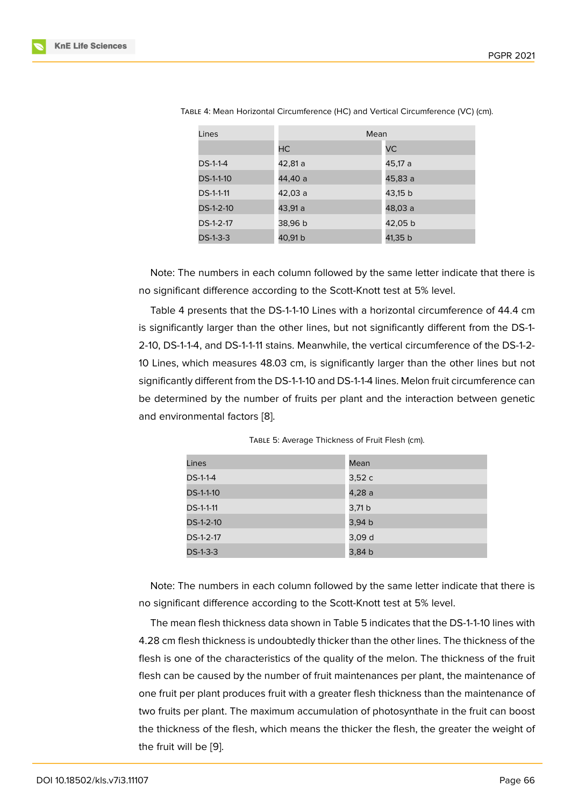| Lines            | Mean    |         |  |  |
|------------------|---------|---------|--|--|
|                  | HC.     | VC.     |  |  |
| DS-1-1-4         | 42,81 a | 45,17 a |  |  |
| <b>DS-1-1-10</b> | 44,40 a | 45.83 a |  |  |
| <b>DS-1-1-11</b> | 42,03 a | 43,15 b |  |  |
| $DS-1-2-10$      | 43,91 a | 48,03 a |  |  |
| DS-1-2-17        | 38,96 b | 42,05 b |  |  |
| $DS-1-3-3$       | 40,91 b | 41,35 b |  |  |

| Table 4: Mean Horizontal Circumference (HC) and Vertical Circumference (VC) (cm). |  |  |
|-----------------------------------------------------------------------------------|--|--|
|-----------------------------------------------------------------------------------|--|--|

Note: The numbers in each column followed by the same letter indicate that there is no significant difference according to the Scott-Knott test at 5% level.

Table 4 presents that the DS-1-1-10 Lines with a horizontal circumference of 44.4 cm is significantly larger than the other lines, but not significantly different from the DS-1- 2-10, DS-1-1-4, and DS-1-1-11 stains. Meanwhile, the vertical circumference of the DS-1-2- 10 Lines, which measures 48.03 cm, is significantly larger than the other lines but not significantly different from the DS-1-1-10 and DS-1-1-4 lines. Melon fruit circumference can be determined by the number of fruits per plant and the interaction between genetic and environmental factors [8].

|  | TABLE 5: Average Thickness of Fruit Flesh (cm). |
|--|-------------------------------------------------|
|--|-------------------------------------------------|

| Lines            | Mean   |
|------------------|--------|
| $DS-1-1-4$       | 3,52c  |
| <b>DS-1-1-10</b> | 4,28 a |
| <b>DS-1-1-11</b> | 3,71 b |
| DS-1-2-10        | 3,94 b |
| DS-1-2-17        | 3,09 d |
| $DS-1-3-3$       | 3,84 b |

Note: The numbers in each column followed by the same letter indicate that there is no significant difference according to the Scott-Knott test at 5% level.

The mean flesh thickness data shown in Table 5 indicates that the DS-1-1-10 lines with 4.28 cm flesh thickness is undoubtedly thicker than the other lines. The thickness of the flesh is one of the characteristics of the quality of the melon. The thickness of the fruit flesh can be caused by the number of fruit maintenances per plant, the maintenance of one fruit per plant produces fruit with a greater flesh thickness than the maintenance of two fruits per plant. The maximum accumulation of photosynthate in the fruit can boost the thickness of the flesh, which means the thicker the flesh, the greater the weight of the fruit will be [9].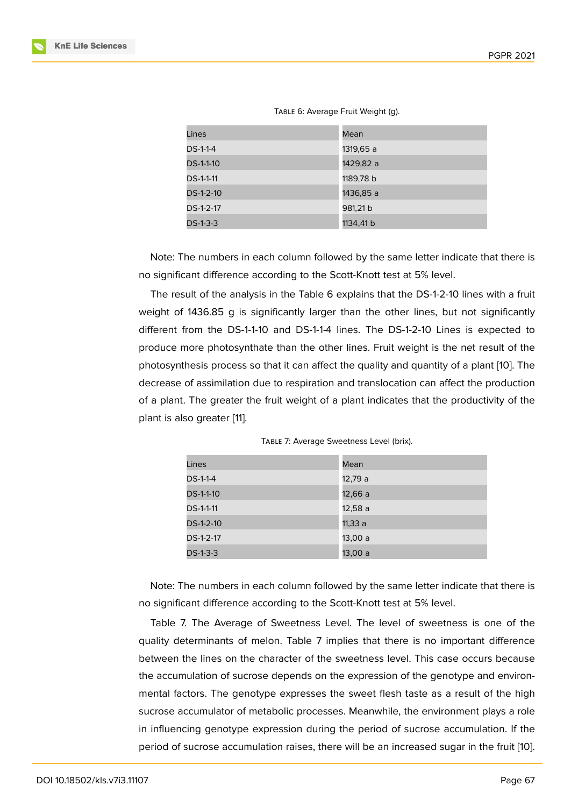| Lines            | Mean      |
|------------------|-----------|
| DS-1-1-4         | 1319,65 a |
| DS-1-1-10        | 1429,82 a |
| <b>DS-1-1-11</b> | 1189,78 b |
| DS-1-2-10        | 1436,85 a |
| DS-1-2-17        | 981,21 b  |
| $DS-1-3-3$       | 1134,41 b |

#### TABLE 6: Average Fruit Weight (g).

Note: The numbers in each column followed by the same letter indicate that there is no significant difference according to the Scott-Knott test at 5% level.

The result of the analysis in the Table 6 explains that the DS-1-2-10 lines with a fruit weight of 1436.85 g is significantly larger than the other lines, but not significantly different from the DS-1-1-10 and DS-1-1-4 lines. The DS-1-2-10 Lines is expected to produce more photosynthate than the other lines. Fruit weight is the net result of the photosynthesis process so that it can affect the quality and quantity of a plant [10]. The decrease of assimilation due to respiration and translocation can affect the production of a plant. The greater the fruit weight of a plant indicates that the productivity of the plant is also greater [11].

| TABLE 7: Average Sweetness Level (brix). |  |  |  |
|------------------------------------------|--|--|--|
|------------------------------------------|--|--|--|

| Lines      | Mean    |
|------------|---------|
| $DS-1-1-4$ | 12,79 a |
| DS-1-1-10  | 12,66 a |
| DS-1-1-11  | 12,58 a |
| DS-1-2-10  | 11,33 a |
| DS-1-2-17  | 13,00 a |
| $DS-1-3-3$ | 13,00 a |

Note: The numbers in each column followed by the same letter indicate that there is no significant difference according to the Scott-Knott test at 5% level.

Table 7. The Average of Sweetness Level. The level of sweetness is one of the quality determinants of melon. Table 7 implies that there is no important difference between the lines on the character of the sweetness level. This case occurs because the accumulation of sucrose depends on the expression of the genotype and environmental factors. The genotype expresses the sweet flesh taste as a result of the high sucrose accumulator of metabolic processes. Meanwhile, the environment plays a role in influencing genotype expression during the period of sucrose accumulation. If the period of sucrose accumulation raises, there will be an increased sugar in the fruit [10].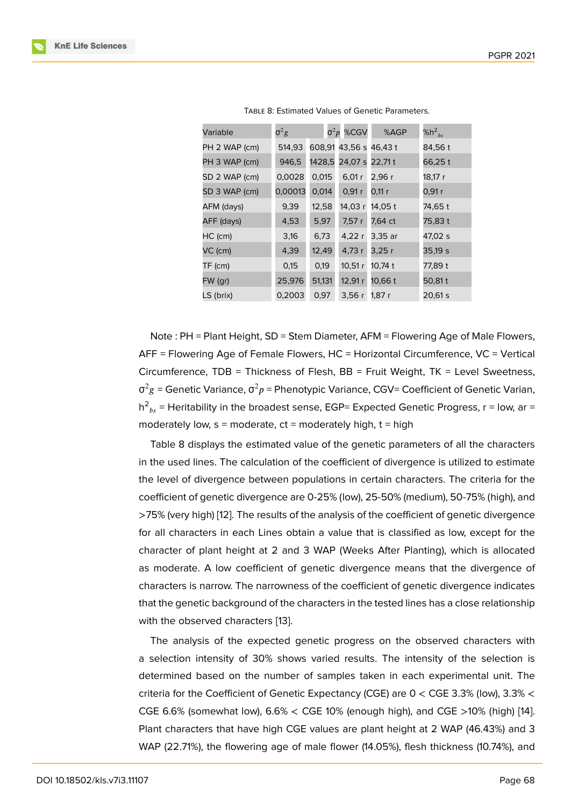| Variable      | $\sigma^2 g$ |        | $σ²p$ %CGV      | %AGP    | %h <sup>2</sup> <sub>bs</sub> |
|---------------|--------------|--------|-----------------|---------|-------------------------------|
| PH 2 WAP (cm) | 514,93       | 608,91 | 43,56 s 46,43 t |         | 84,56 t                       |
| PH 3 WAP (cm) | 946,5        | 1428,5 | 24,07 s         | 22,71 t | 66,25 t                       |
| SD 2 WAP (cm) | 0,0028       | 0,015  | 6,01r           | 2,96 r  | 18,17 r                       |
| SD 3 WAP (cm) | 0,00013      | 0,014  | 0,91 r          | 0,11 r  | 0,91r                         |
| AFM (days)    | 9,39         | 12,58  | 14,03 r         | 14,05 t | 74,65 t                       |
| AFF (days)    | 4,53         | 5,97   | 7,57 r          | 7,64 ct | 75,83 t                       |
| HC (cm)       | 3,16         | 6,73   | 4,22r           | 3,35 ar | 47,02 s                       |
| VC (cm)       | 4,39         | 12,49  | 4,73 r          | 3,25 r  | 35,19s                        |
| TF (cm)       | 0,15         | 0,19   | 10,51r          | 10,74 t | 77,89 t                       |
| FW (gr)       | 25,976       | 51,131 | 12,91r          | 10,66 t | 50,81 t                       |
| LS (brix)     | 0,2003       | 0,97   | 3,56r           | 1,87 r  | 20,61 s                       |

Note : PH = Plant Height, SD = Stem Diameter, AFM = Flowering Age of Male Flowers, AFF = Flowering Age of Female Flowers, HC = Horizontal Circumference, VC = Vertical Circumference, TDB = Thickness of Flesh, BB = Fruit Weight, TK = Level Sweetness, σ $^2$ g = Genetic Variance, σ $^2p$  = Phenotypic Variance, CGV= Coefficient of Genetic Varian, h $^2{}_{bs}$  = Heritability in the broadest sense, EGP= Expected Genetic Progress, r = low, ar = moderately low,  $s =$  moderate,  $ct =$  moderately high,  $t =$  high

Table 8 displays the estimated value of the genetic parameters of all the characters in the used lines. The calculation of the coefficient of divergence is utilized to estimate the level of divergence between populations in certain characters. The criteria for the coefficient of genetic divergence are 0-25% (low), 25-50% (medium), 50-75% (high), and >75% (very high) [12]. The results of the analysis of the coefficient of genetic divergence for all characters in each Lines obtain a value that is classified as low, except for the character of plant height at 2 and 3 WAP (Weeks After Planting), which is allocated as moderate. A l[ow](#page-9-0) coefficient of genetic divergence means that the divergence of characters is narrow. The narrowness of the coefficient of genetic divergence indicates that the genetic background of the characters in the tested lines has a close relationship with the observed characters [13].

The analysis of the expected genetic progress on the observed characters with a selection intensity of 30% shows varied results. The intensity of the selection is determined based on the nu[mb](#page-9-1)er of samples taken in each experimental unit. The criteria for the Coefficient of Genetic Expectancy (CGE) are 0 < CGE 3.3% (low), 3.3% < CGE 6.6% (somewhat low), 6.6% < CGE 10% (enough high), and CGE >10% (high) [14]. Plant characters that have high CGE values are plant height at 2 WAP (46.43%) and 3 WAP (22.71%), the flowering age of male flower (14.05%), flesh thickness (10.74%), and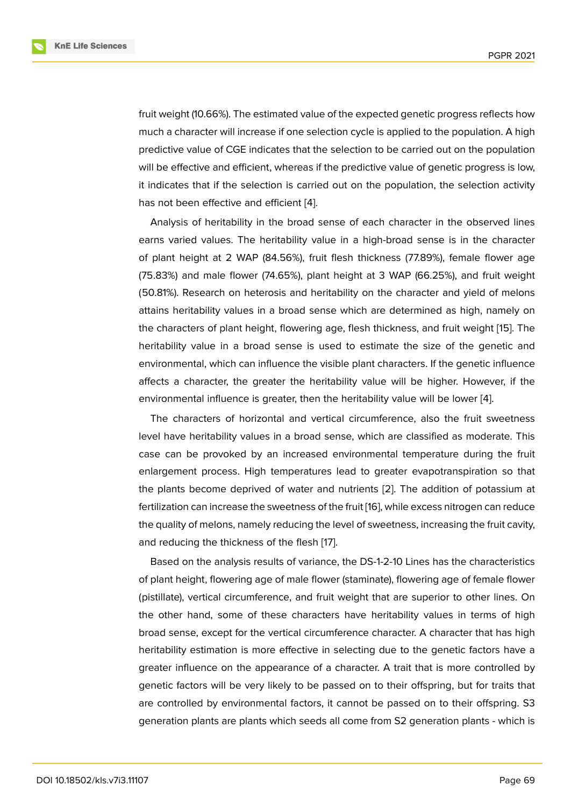fruit weight (10.66%). The estimated value of the expected genetic progress reflects how much a character will increase if one selection cycle is applied to the population. A high predictive value of CGE indicates that the selection to be carried out on the population will be effective and efficient, whereas if the predictive value of genetic progress is low, it indicates that if the selection is carried out on the population, the selection activity has not been effective and efficient [4].

Analysis of heritability in the broad sense of each character in the observed lines earns varied values. The heritability value in a high-broad sense is in the character of plant height at 2 WAP (84.56%), [fr](#page-8-2)uit flesh thickness (77.89%), female flower age (75.83%) and male flower (74.65%), plant height at 3 WAP (66.25%), and fruit weight (50.81%). Research on heterosis and heritability on the character and yield of melons attains heritability values in a broad sense which are determined as high, namely on the characters of plant height, flowering age, flesh thickness, and fruit weight [15]. The heritability value in a broad sense is used to estimate the size of the genetic and environmental, which can influence the visible plant characters. If the genetic influence affects a character, the greater the heritability value will be higher. Howev[er,](#page-9-2) if the environmental influence is greater, then the heritability value will be lower [4].

The characters of horizontal and vertical circumference, also the fruit sweetness level have heritability values in a broad sense, which are classified as moderate. This case can be provoked by an increased environmental temperature duri[ng](#page-8-2) the fruit enlargement process. High temperatures lead to greater evapotranspiration so that the plants become deprived of water and nutrients [2]. The addition of potassium at fertilization can increase the sweetness of the fruit [16], while excess nitrogen can reduce the quality of melons, namely reducing the level of sweetness, increasing the fruit cavity, and reducing the thickness of the flesh [17].

Based on the analysis results of variance, the D[S-1](#page-9-3)-2-10 Lines has the characteristics of plant height, flowering age of male flower (staminate), flowering age of female flower (pistillate), vertical circumference, and fr[uit](#page-9-4) weight that are superior to other lines. On the other hand, some of these characters have heritability values in terms of high broad sense, except for the vertical circumference character. A character that has high heritability estimation is more effective in selecting due to the genetic factors have a greater influence on the appearance of a character. A trait that is more controlled by genetic factors will be very likely to be passed on to their offspring, but for traits that are controlled by environmental factors, it cannot be passed on to their offspring. S3 generation plants are plants which seeds all come from S2 generation plants - which is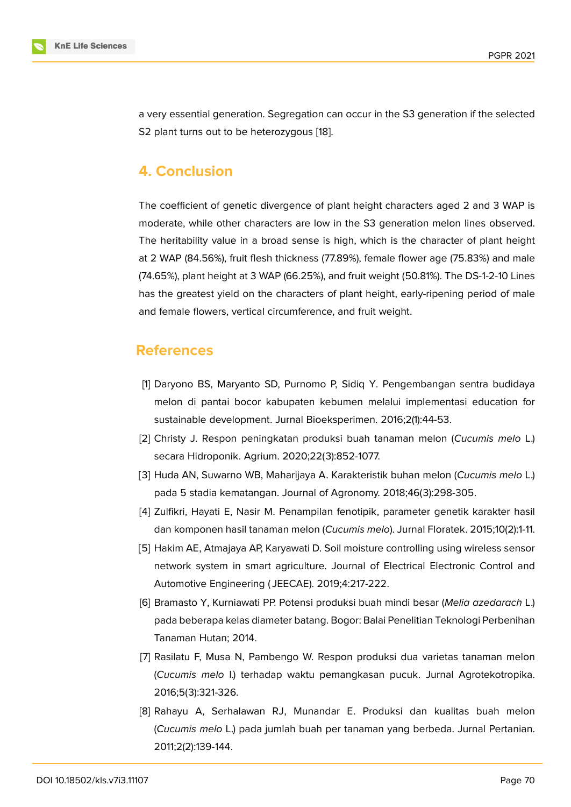a very essential generation. Segregation can occur in the S3 generation if the selected S2 plant turns out to be heterozygous [18].

# **4. Conclusion**

The coefficient of genetic divergence of plant height characters aged 2 and 3 WAP is moderate, while other characters are low in the S3 generation melon lines observed. The heritability value in a broad sense is high, which is the character of plant height at 2 WAP (84.56%), fruit flesh thickness (77.89%), female flower age (75.83%) and male (74.65%), plant height at 3 WAP (66.25%), and fruit weight (50.81%). The DS-1-2-10 Lines has the greatest yield on the characters of plant height, early-ripening period of male and female flowers, vertical circumference, and fruit weight.

### **References**

- [1] Daryono BS, Maryanto SD, Purnomo P, Sidiq Y. Pengembangan sentra budidaya melon di pantai bocor kabupaten kebumen melalui implementasi education for sustainable development. Jurnal Bioeksperimen. 2016;2(1):44-53.
- <span id="page-8-0"></span>[2] Christy J. Respon peningkatan produksi buah tanaman melon (*Cucumis melo* L.) secara Hidroponik. Agrium. 2020;22(3):852-1077.
- <span id="page-8-3"></span>[3] Huda AN, Suwarno WB, Maharijaya A. Karakteristik buhan melon (*Cucumis melo* L.) pada 5 stadia kematangan. Journal of Agronomy. 2018;46(3):298-305.
- <span id="page-8-1"></span>[4] Zulfikri, Hayati E, Nasir M. Penampilan fenotipik, parameter genetik karakter hasil dan komponen hasil tanaman melon (*Cucumis melo*). Jurnal Floratek. 2015;10(2):1-11.
- <span id="page-8-2"></span>[5] Hakim AE, Atmajaya AP, Karyawati D. Soil moisture controlling using wireless sensor network system in smart agriculture. Journal of Electrical Electronic Control and Automotive Engineering ( JEECAE). 2019;4:217-222.
- <span id="page-8-4"></span>[6] Bramasto Y, Kurniawati PP. Potensi produksi buah mindi besar (*Melia azedarach* L.) pada beberapa kelas diameter batang. Bogor: Balai Penelitian Teknologi Perbenihan Tanaman Hutan; 2014.
- [7] Rasilatu F, Musa N, Pambengo W. Respon produksi dua varietas tanaman melon (*Cucumis melo* l.) terhadap waktu pemangkasan pucuk. Jurnal Agrotekotropika. 2016;5(3):321-326.
- [8] Rahayu A, Serhalawan RJ, Munandar E. Produksi dan kualitas buah melon (*Cucumis melo* L.) pada jumlah buah per tanaman yang berbeda. Jurnal Pertanian. 2011;2(2):139-144.